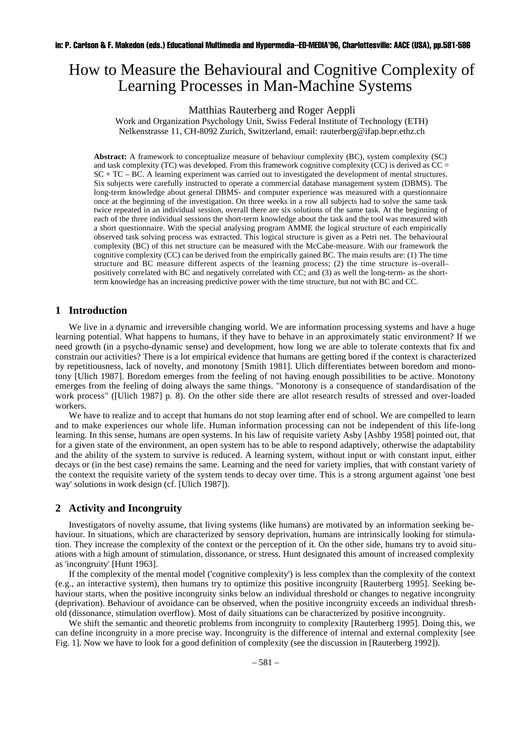# How to Measure the Behavioural and Cognitive Complexity of Learning Processes in Man-Machine Systems

#### Matthias Rauterberg and Roger Aeppli

Work and Organization Psychology Unit, Swiss Federal Institute of Technology (ETH) Nelkenstrasse 11, CH-8092 Zurich, Switzerland, email: rauterberg@ifap.bepr.ethz.ch

**Abstract:** A framework to conceptualize measure of behaviour complexity (BC), system complexity (SC) and task complexity (TC) was developed. From this framework cognitive complexity (CC) is derived as  $CC =$ SC + TC – BC. A learning experiment was carried out to investigated the development of mental structures. Six subjects were carefully instructed to operate a commercial database management system (DBMS). The long-term knowledge about general DBMS- and computer experience was measured with a questionnaire once at the beginning of the investigation. On three weeks in a row all subjects had to solve the same task twice repeated in an individual session, overall there are six solutions of the same task. At the beginning of each of the three individual sessions the short-term knowledge about the task and the tool was measured with a short questionnaire. With the special analysing program AMME the logical structure of each empirically observed task solving process was extracted. This logical structure is given as a Petri net. The behavioural complexity (BC) of this net structure can be measured with the McCabe-measure. With our framework the cognitive complexity (CC) can be derived from the empirically gained BC. The main results are: (1) The time structure and BC measure different aspects of the learning process; (2) the time structure is–overall– positively correlated with BC and negatively correlated with CC; and (3) as well the long-term- as the shortterm knowledge has an increasing predictive power with the time structure, but not with BC and CC.

### **1 Introduction**

We live in a dynamic and irreversible changing world. We are information processing systems and have a huge learning potential. What happens to humans, if they have to behave in an approximately static environment? If we need growth (in a psycho-dynamic sense) and development, how long we are able to tolerate contexts that fix and constrain our activities? There is a lot empirical evidence that humans are getting bored if the context is characterized by repetitiousness, lack of novelty, and monotony [Smith 1981]. Ulich differentiates between boredom and monotony [Ulich 1987]. Boredom emerges from the feeling of not having enough possibilities to be active. Monotony emerges from the feeling of doing always the same things. "Monotony is a consequence of standardisation of the work process" ([Ulich 1987] p. 8). On the other side there are allot research results of stressed and over-loaded workers.

We have to realize and to accept that humans do not stop learning after end of school. We are compelled to learn and to make experiences our whole life. Human information processing can not be independent of this life-long learning. In this sense, humans are open systems. In his law of requisite variety Asby [Ashby 1958] pointed out, that for a given state of the environment, an open system has to be able to respond adaptively, otherwise the adaptability and the ability of the system to survive is reduced. A learning system, without input or with constant input, either decays or (in the best case) remains the same. Learning and the need for variety implies, that with constant variety of the context the requisite variety of the system tends to decay over time. This is a strong argument against 'one best way' solutions in work design (cf. [Ulich 1987]).

# **2 Activity and Incongruity**

Investigators of novelty assume, that living systems (like humans) are motivated by an information seeking behaviour. In situations, which are characterized by sensory deprivation, humans are intrinsically looking for stimulation. They increase the complexity of the context or the perception of it. On the other side, humans try to avoid situations with a high amount of stimulation, dissonance, or stress. Hunt designated this amount of increased complexity as 'incongruity' [Hunt 1963].

If the complexity of the mental model ('cognitive complexity') is less complex than the complexity of the context (e.g., an interactive system), then humans try to optimize this positive incongruity [Rauterberg 1995]. Seeking behaviour starts, when the positive incongruity sinks below an individual threshold or changes to negative incongruity (deprivation). Behaviour of avoidance can be observed, when the positive incongruity exceeds an individual threshold (dissonance, stimulation overflow). Most of daily situations can be characterized by positive incongruity.

We shift the semantic and theoretic problems from incongruity to complexity [Rauterberg 1995]. Doing this, we can define incongruity in a more precise way. Incongruity is the difference of internal and external complexity [see Fig. 1]. Now we have to look for a good definition of complexity (see the discussion in [Rauterberg 1992]).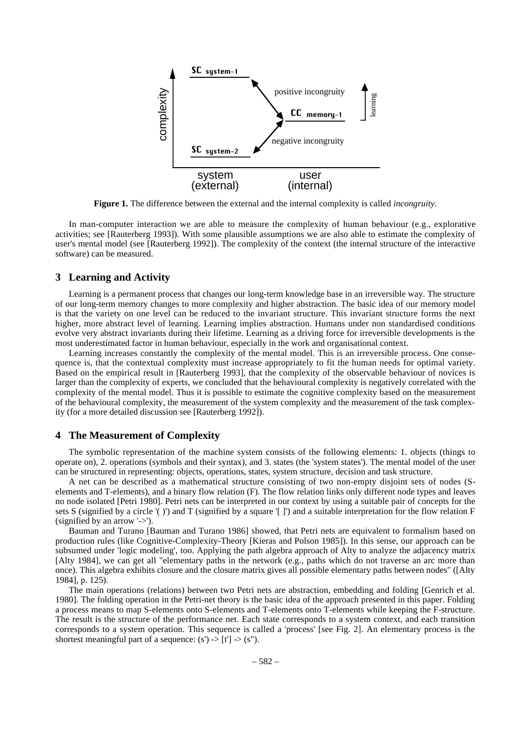

**Figure 1.** The difference between the external and the internal complexity is called *incongruity*.

In man-computer interaction we are able to measure the complexity of human behaviour (e.g., explorative activities; see [Rauterberg 1993]). With some plausible assumptions we are also able to estimate the complexity of user's mental model (see [Rauterberg 1992]). The complexity of the context (the internal structure of the interactive software) can be measured.

## **3 Learning and Activity**

Learning is a permanent process that changes our long-term knowledge base in an irreversible way. The structure of our long-term memory changes to more complexity and higher abstraction. The basic idea of our memory model is that the variety on one level can be reduced to the invariant structure. This invariant structure forms the next higher, more abstract level of learning. Learning implies abstraction. Humans under non standardised conditions evolve very abstract invariants during their lifetime. Learning as a driving force for irreversible developments is the most underestimated factor in human behaviour, especially in the work and organisational context.

Learning increases constantly the complexity of the mental model. This is an irreversible process. One consequence is, that the contextual complexity must increase appropriately to fit the human needs for optimal variety. Based on the empirical result in [Rauterberg 1993], that the complexity of the observable behaviour of novices is larger than the complexity of experts, we concluded that the behavioural complexity is negatively correlated with the complexity of the mental model. Thus it is possible to estimate the cognitive complexity based on the measurement of the behavioural complexity, the measurement of the system complexity and the measurement of the task complexity (for a more detailed discussion see [Rauterberg 1992]).

## **4 The Measurement of Complexity**

The symbolic representation of the machine system consists of the following elements: 1. objects (things to operate on), 2. operations (symbols and their syntax), and 3. states (the 'system states'). The mental model of the user can be structured in representing: objects, operations, states, system structure, decision and task structure.

A net can be described as a mathematical structure consisting of two non-empty disjoint sets of nodes (Selements and T-elements), and a binary flow relation (F). The flow relation links only different node types and leaves no node isolated [Petri 1980]. Petri nets can be interpreted in our context by using a suitable pair of concepts for the sets S (signified by a circle '( )') and T (signified by a square '[ ]') and a suitable interpretation for the flow relation F (signified by an arrow '->').

Bauman and Turano [Bauman and Turano 1986] showed, that Petri nets are equivalent to formalism based on production rules (like Cognitive-Complexity-Theory [Kieras and Polson 1985]). In this sense, our approach can be subsumed under 'logic modeling', too. Applying the path algebra approach of Alty to analyze the adjacency matrix [Alty 1984], we can get all "elementary paths in the network (e.g., paths which do not traverse an arc more than once). This algebra exhibits closure and the closure matrix gives all possible elementary paths between nodes" ([Alty 1984], p. 125).

The main operations (relations) between two Petri nets are abstraction, embedding and folding [Genrich et al. 1980]. The folding operation in the Petri-net theory is the basic idea of the approach presented in this paper. Folding a process means to map S-elements onto S-elements and T-elements onto T-elements while keeping the F-structure. The result is the structure of the performance net. Each state corresponds to a system context, and each transition corresponds to a system operation. This sequence is called a 'process' [see Fig. 2]. An elementary process is the shortest meaningful part of a sequence:  $(s') \rightarrow [t'] \rightarrow (s'')$ .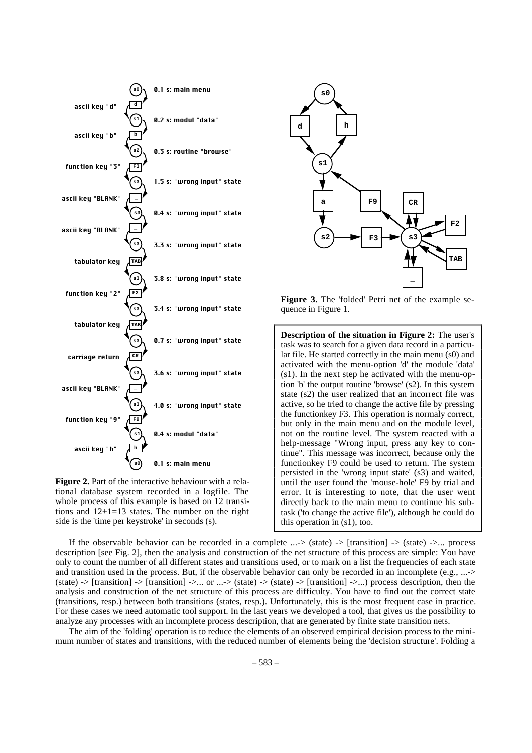

**Figure 2.** Part of the interactive behaviour with a relational database system recorded in a logfile. The whole process of this example is based on 12 transitions and 12+1=13 states. The number on the right side is the 'time per keystroke' in seconds (s).



**Figure 3.** The 'folded' Petri net of the example sequence in Figure 1.

**Description of the situation in Figure 2:** The user's task was to search for a given data record in a particular file. He started correctly in the main menu (s0) and activated with the menu-option 'd' the module 'data' (s1). In the next step he activated with the menu-option 'b' the output routine 'browse' (s2). In this system state (s2) the user realized that an incorrect file was active, so he tried to change the active file by pressing the functionkey F3. This operation is normaly correct, but only in the main menu and on the module level, not on the routine level. The system reacted with a help-message "Wrong input, press any key to continue". This message was incorrect, because only the functionkey F9 could be used to return. The system persisted in the 'wrong input state' (s3) and waited, until the user found the 'mouse-hole' F9 by trial and error. It is interesting to note, that the user went directly back to the main menu to continue his subtask ('to change the active file'), although he could do this operation in (s1), too.

If the observable behavior can be recorded in a complete  $\ldots$  > (state) -> [transition] -> (state) ->... process description [see Fig. 2], then the analysis and construction of the net structure of this process are simple: You have only to count the number of all different states and transitions used, or to mark on a list the frequencies of each state and transition used in the process. But, if the observable behavior can only be recorded in an incomplete (e.g., ...-> (state)  $\rightarrow$  [transition]  $\rightarrow$  [transition]  $\rightarrow$ ... or ... $\rightarrow$  (state)  $\rightarrow$  [transition]  $\rightarrow$ ...) process description, then the analysis and construction of the net structure of this process are difficulty. You have to find out the correct state (transitions, resp.) between both transitions (states, resp.). Unfortunately, this is the most frequent case in practice. For these cases we need automatic tool support. In the last years we developed a tool, that gives us the possibility to analyze any processes with an incomplete process description, that are generated by finite state transition nets.

The aim of the 'folding' operation is to reduce the elements of an observed empirical decision process to the minimum number of states and transitions, with the reduced number of elements being the 'decision structure'. Folding a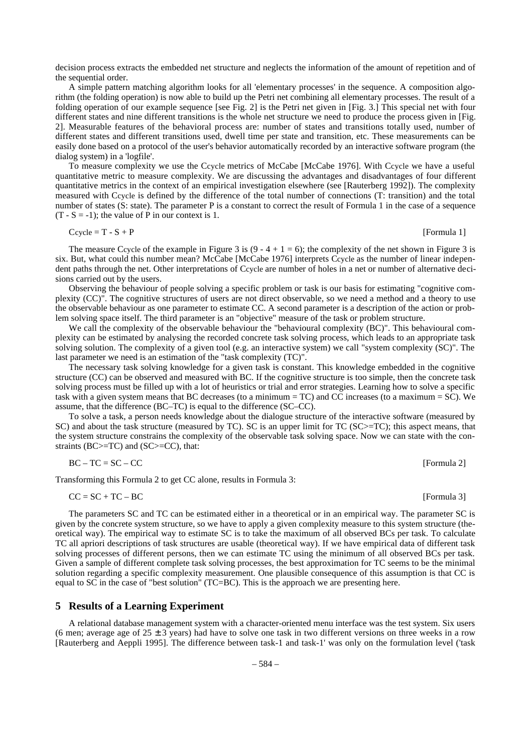decision process extracts the embedded net structure and neglects the information of the amount of repetition and of the sequential order.

A simple pattern matching algorithm looks for all 'elementary processes' in the sequence. A composition algorithm (the folding operation) is now able to build up the Petri net combining all elementary processes. The result of a folding operation of our example sequence [see Fig. 2] is the Petri net given in [Fig. 3.] This special net with four different states and nine different transitions is the whole net structure we need to produce the process given in [Fig. 2]. Measurable features of the behavioral process are: number of states and transitions totally used, number of different states and different transitions used, dwell time per state and transition, etc. These measurements can be easily done based on a protocol of the user's behavior automatically recorded by an interactive software program (the dialog system) in a 'logfile'.

To measure complexity we use the Ccycle metrics of McCabe [McCabe 1976]. With Ccycle we have a useful quantitative metric to measure complexity. We are discussing the advantages and disadvantages of four different quantitative metrics in the context of an empirical investigation elsewhere (see [Rauterberg 1992]). The complexity measured with Ccycle is defined by the difference of the total number of connections (T: transition) and the total number of states (S: state). The parameter P is a constant to correct the result of Formula 1 in the case of a sequence  $(T - S = -1)$ ; the value of P in our context is 1.

$$
Ccycle = T - S + P
$$
 [Formula 1]

The measure Ccycle of the example in Figure 3 is  $(9 - 4 + 1 = 6)$ ; the complexity of the net shown in Figure 3 is six. But, what could this number mean? McCabe [McCabe 1976] interprets Ccycle as the number of linear independent paths through the net. Other interpretations of Ccycle are number of holes in a net or number of alternative decisions carried out by the users.

Observing the behaviour of people solving a specific problem or task is our basis for estimating "cognitive complexity (CC)". The cognitive structures of users are not direct observable, so we need a method and a theory to use the observable behaviour as one parameter to estimate CC. A second parameter is a description of the action or problem solving space itself. The third parameter is an "objective" measure of the task or problem structure.

We call the complexity of the observable behaviour the "behavioural complexity (BC)". This behavioural complexity can be estimated by analysing the recorded concrete task solving process, which leads to an appropriate task solving solution. The complexity of a given tool (e.g. an interactive system) we call "system complexity (SC)". The last parameter we need is an estimation of the "task complexity (TC)".

The necessary task solving knowledge for a given task is constant. This knowledge embedded in the cognitive structure (CC) can be observed and measured with BC. If the cognitive structure is too simple, then the concrete task solving process must be filled up with a lot of heuristics or trial and error strategies. Learning how to solve a specific task with a given system means that BC decreases (to a minimum = TC) and CC increases (to a maximum = SC). We assume, that the difference (BC–TC) is equal to the difference (SC–CC).

To solve a task, a person needs knowledge about the dialogue structure of the interactive software (measured by SC) and about the task structure (measured by TC). SC is an upper limit for TC (SC>=TC); this aspect means, that the system structure constrains the complexity of the observable task solving space. Now we can state with the constraints (BC>=TC) and (SC>=CC), that:

$$
BC - TC = SC - CC
$$
 [Formula 2]

Transforming this Formula 2 to get CC alone, results in Formula 3:

$$
CC = SC + TC - BC
$$
 [Formula 3]

The parameters SC and TC can be estimated either in a theoretical or in an empirical way. The parameter SC is given by the concrete system structure, so we have to apply a given complexity measure to this system structure (theoretical way). The empirical way to estimate SC is to take the maximum of all observed BCs per task. To calculate TC all apriori descriptions of task structures are usable (theoretical way). If we have empirical data of different task solving processes of different persons, then we can estimate TC using the minimum of all observed BCs per task. Given a sample of different complete task solving processes, the best approximation for TC seems to be the minimal solution regarding a specific complexity measurement. One plausible consequence of this assumption is that CC is equal to SC in the case of "best solution" (TC=BC). This is the approach we are presenting here.

### **5 Results of a Learning Experiment**

A relational database management system with a character-oriented menu interface was the test system. Six users (6 men; average age of  $25 \pm 3$  years) had have to solve one task in two different versions on three weeks in a row [Rauterberg and Aeppli 1995]. The difference between task-1 and task-1' was only on the formulation level ('task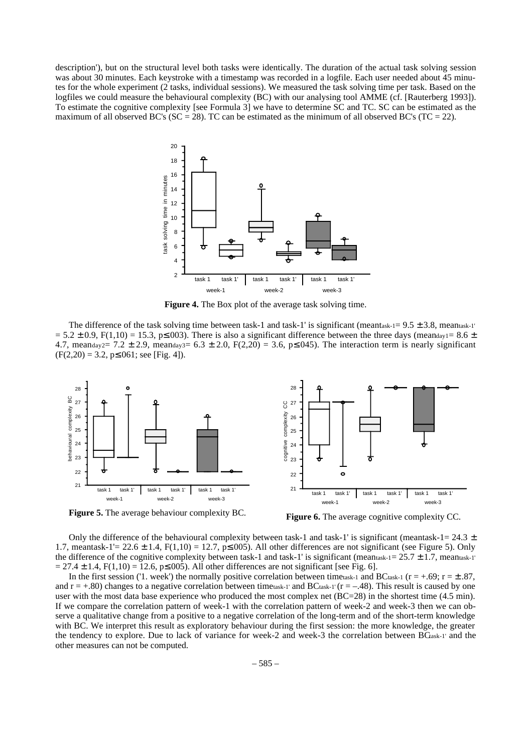description'), but on the structural level both tasks were identically. The duration of the actual task solving session was about 30 minutes. Each keystroke with a timestamp was recorded in a logfile. Each user needed about 45 minutes for the whole experiment (2 tasks, individual sessions). We measured the task solving time per task. Based on the logfiles we could measure the behavioural complexity (BC) with our analysing tool AMME (cf. [Rauterberg 1993]). To estimate the cognitive complexity [see Formula 3] we have to determine SC and TC. SC can be estimated as the maximum of all observed BC's ( $SC = 28$ ). TC can be estimated as the minimum of all observed BC's ( $TC = 22$ ).



**Figure 4.** The Box plot of the average task solving time.

The difference of the task solving time between task-1 and task-1' is significant (meantask-1=  $9.5 \pm 3.8$ , meantask-1'  $= 5.2 \pm 0.9$ , F(1,10) = 15.3, p $\leq$ .003). There is also a significant difference between the three days (meanday1= 8.6  $\pm$ 4.7, meanday2= 7.2  $\pm$  2.9, meanday3= 6.3  $\pm$  2.0, F(2,20) = 3.6, p ≤.045). The interaction term is nearly significant  $(F(2,20) = 3.2, p \le 0.061;$  see [Fig. 4]).



**Figure 5.** The average behaviour complexity BC.

**Figure 6.** The average cognitive complexity CC.

Only the difference of the behavioural complexity between task-1 and task-1' is significant (meantask-1=  $24.3 \pm$ 1.7, meantask-1'= 22.6  $\pm$  1.4, F(1,10) = 12.7, p≤.005). All other differences are not significant (see Figure 5). Only the difference of the cognitive complexity between task-1 and task-1' is significant (meantask-1=  $25.7 \pm 1.7$ , meantask-1'  $= 27.4 \pm 1.4$ , F(1,10) = 12.6, p $\leq 0.005$ ). All other differences are not significant [see Fig. 6].

In the first session ('1. week') the normally positive correlation between timetask-1 and BCtask-1 ( $r = +.69$ ;  $r = \pm .87$ , and  $r = +0.80$  changes to a negative correlation between timetask-1' and BCtask-1' ( $r = -0.48$ ). This result is caused by one user with the most data base experience who produced the most complex net (BC=28) in the shortest time (4.5 min). If we compare the correlation pattern of week-1 with the correlation pattern of week-2 and week-3 then we can observe a qualitative change from a positive to a negative correlation of the long-term and of the short-term knowledge with BC. We interpret this result as exploratory behaviour during the first session: the more knowledge, the greater the tendency to explore. Due to lack of variance for week-2 and week-3 the correlation between BCask-1' and the other measures can not be computed.